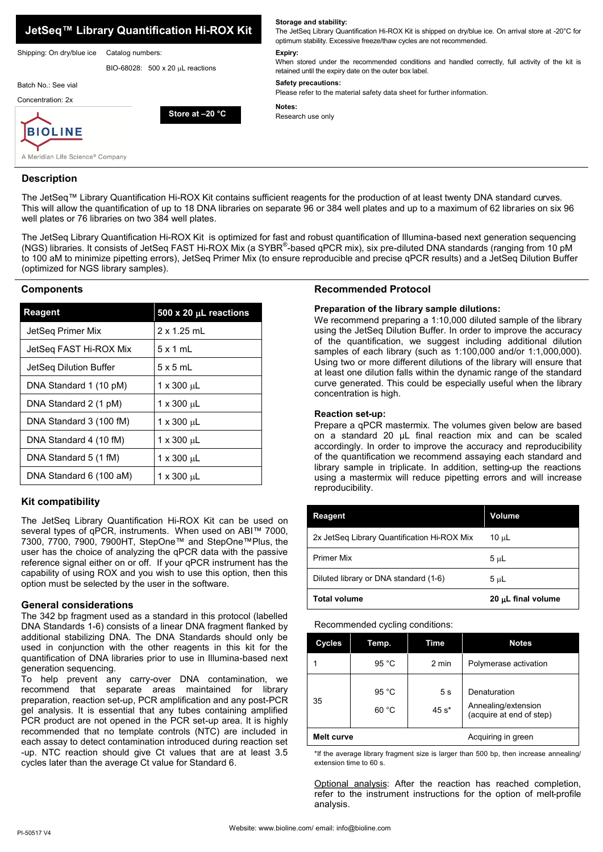

**Storage and stability:** 

### **Description**

The JetSeq™ Library Quantification Hi-ROX Kit contains sufficient reagents for the production of at least twenty DNA standard curves. This will allow the quantification of up to 18 DNA libraries on separate 96 or 384 well plates and up to a maximum of 62 libraries on six 96 well plates or 76 libraries on two 384 well plates.

The JetSeq Library Quantification Hi-ROX Kit is optimized for fast and robust quantification of Illumina-based next generation sequencing (NGS) libraries. It consists of JetSeq FAST Hi-ROX Mix (a SYBR®-based qPCR mix), six pre-diluted DNA standards (ranging from 10 pM to 100 aM to minimize pipetting errors), JetSeq Primer Mix (to ensure reproducible and precise qPCR results) and a JetSeq Dilution Buffer (optimized for NGS library samples).

### **Components**

| Reagent                 | 500 x 20 $\mu$ L reactions |
|-------------------------|----------------------------|
| JetSeg Primer Mix       | $2 \times 1.25$ ml         |
| JetSeg FAST Hi-ROX Mix  | $5 \times 1$ ml            |
| JetSeg Dilution Buffer  | $5 \times 5$ ml            |
| DNA Standard 1 (10 pM)  | 1 x 300 uL                 |
| DNA Standard 2 (1 pM)   | 1 x 300 µL                 |
| DNA Standard 3 (100 fM) | 1 x 300 uL                 |
| DNA Standard 4 (10 fM)  | 1 x 300 µL                 |
| DNA Standard 5 (1 fM)   | 1 x 300 µL                 |
| DNA Standard 6 (100 aM) | $1 \times 300 \mu L$       |

# **Kit compatibility**

The JetSeq Library Quantification Hi-ROX Kit can be used on several types of qPCR, instruments. When used on ABI™ 7000, 7300, 7700, 7900, 7900HT, StepOne™ and StepOne™Plus, the user has the choice of analyzing the qPCR data with the passive reference signal either on or off. If your qPCR instrument has the capability of using ROX and you wish to use this option, then this option must be selected by the user in the software.

### **General considerations**

The 342 bp fragment used as a standard in this protocol (labelled DNA Standards 1-6) consists of a linear DNA fragment flanked by additional stabilizing DNA. The DNA Standards should only be used in conjunction with the other reagents in this kit for the quantification of DNA libraries prior to use in Illumina-based next generation sequencing.

To help prevent any carry-over DNA contamination, we recommend that separate areas maintained for library preparation, reaction set-up, PCR amplification and any post-PCR gel analysis. It is essential that any tubes containing amplified PCR product are not opened in the PCR set-up area. It is highly recommended that no template controls (NTC) are included in each assay to detect contamination introduced during reaction set -up. NTC reaction should give Ct values that are at least 3.5 cycles later than the average Ct value for Standard 6.

# **Recommended Protocol**

# **Preparation of the library sample dilutions:**

We recommend preparing a 1:10,000 diluted sample of the library using the JetSeq Dilution Buffer. In order to improve the accuracy of the quantification, we suggest including additional dilution samples of each library (such as 1:100,000 and/or 1:1,000,000). Using two or more different dilutions of the library will ensure that at least one dilution falls within the dynamic range of the standard curve generated. This could be especially useful when the library concentration is high.

### **Reaction set-up:**

Prepare a qPCR mastermix. The volumes given below are based on a standard 20 µL final reaction mix and can be scaled accordingly. In order to improve the accuracy and reproducibility of the quantification we recommend assaying each standard and library sample in triplicate. In addition, setting-up the reactions using a mastermix will reduce pipetting errors and will increase reproducibility.

| Reagent                                     | Volume             |
|---------------------------------------------|--------------------|
| 2x JetSeg Library Quantification Hi-ROX Mix | $10 \mu L$         |
| <b>Primer Mix</b>                           | $5 \mu L$          |
| Diluted library or DNA standard (1-6)       | 5 սԼ               |
| <b>Total volume</b>                         | 20 µL final volume |

### Recommended cycling conditions:

| <b>Cycles</b>     | Temp.                    | Time                      | <b>Notes</b>                                                    |
|-------------------|--------------------------|---------------------------|-----------------------------------------------------------------|
|                   | 95 °C                    | 2 min                     | Polymerase activation                                           |
| 35                | 95 $^{\circ}$ C<br>60 °C | 5 <sub>s</sub><br>$45 s*$ | Denaturation<br>Annealing/extension<br>(acquire at end of step) |
| <b>Melt curve</b> |                          |                           | Acquiring in green                                              |

\*If the average library fragment size is larger than 500 bp, then increase annealing/ extension time to 60 s.

Optional analysis: After the reaction has reached completion, refer to the instrument instructions for the option of melt-profile analysis.